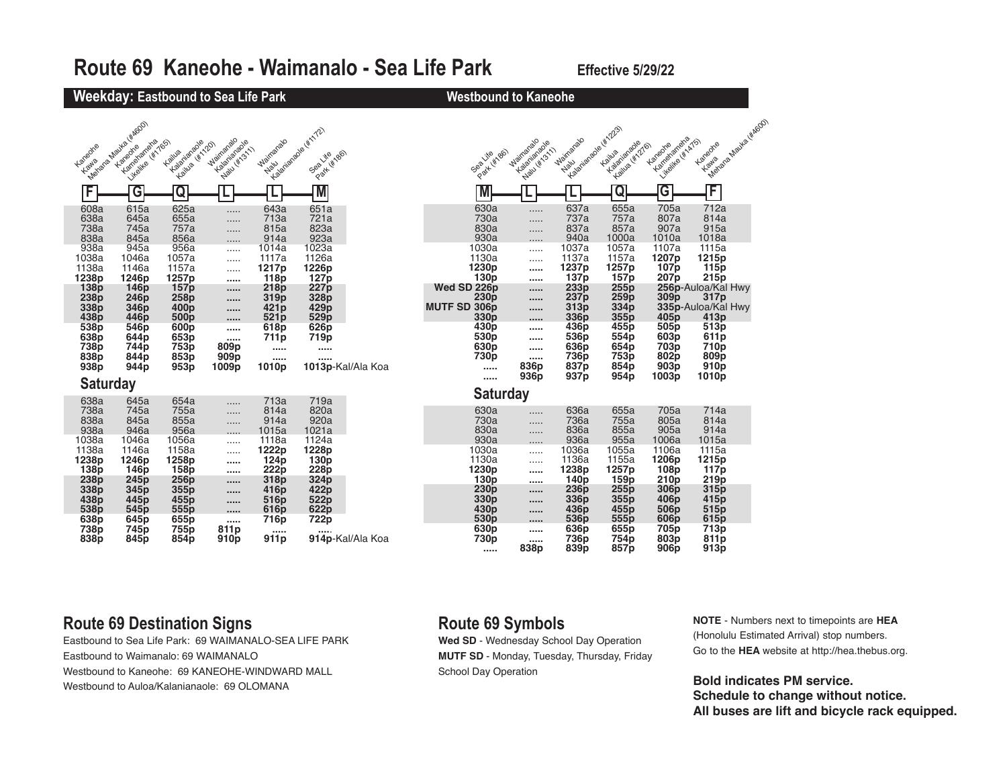

### **Route 69 Destination Signs**

Eastbound to Sea Life Park: 69 WAIMANALO-SEA LIFE PARK Eastbound to Waimanalo: 69 WAIMANALO Westbound to Kaneohe: 69 KANEOHE-WINDWARD MALL Westbound to Auloa/Kalanianaole: 69 OLOMANA

## **Route 69 Symbols**

**Wed SD** - Wednesday School Day Operation **MUTF SD** - Monday, Tuesday, Thursday, Friday School Day Operation

**NOTE** - Numbers next to timepoints are **HEA** (Honolulu Estimated Arrival) stop numbers. Go to the **HEA** website at http://hea.thebus.org.

**Bold indicates PM service. Schedule to change without notice. All buses are lift and bicycle rack equipped.**